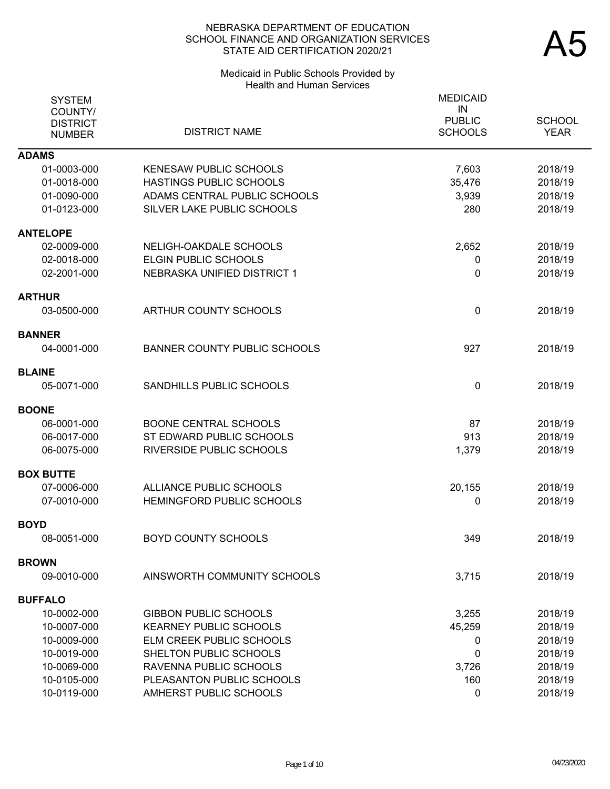### Medicaid in Public Schools Provided by Health and Human Services

| <b>SYSTEM</b>              |                                     | <b>MEDICAID</b><br>IN |               |
|----------------------------|-------------------------------------|-----------------------|---------------|
| COUNTY/<br><b>DISTRICT</b> |                                     | <b>PUBLIC</b>         | <b>SCHOOL</b> |
| <b>NUMBER</b>              | <b>DISTRICT NAME</b>                | <b>SCHOOLS</b>        | <b>YEAR</b>   |
| <b>ADAMS</b>               |                                     |                       |               |
| 01-0003-000                | <b>KENESAW PUBLIC SCHOOLS</b>       | 7,603                 | 2018/19       |
| 01-0018-000                | HASTINGS PUBLIC SCHOOLS             | 35,476                | 2018/19       |
| 01-0090-000                | ADAMS CENTRAL PUBLIC SCHOOLS        | 3,939                 | 2018/19       |
| 01-0123-000                | SILVER LAKE PUBLIC SCHOOLS          | 280                   | 2018/19       |
| <b>ANTELOPE</b>            |                                     |                       |               |
| 02-0009-000                | NELIGH-OAKDALE SCHOOLS              | 2,652                 | 2018/19       |
| 02-0018-000                | ELGIN PUBLIC SCHOOLS                | 0                     | 2018/19       |
| 02-2001-000                | NEBRASKA UNIFIED DISTRICT 1         | 0                     | 2018/19       |
| <b>ARTHUR</b>              |                                     |                       |               |
| 03-0500-000                | ARTHUR COUNTY SCHOOLS               | $\mathbf{0}$          | 2018/19       |
| <b>BANNER</b>              |                                     |                       |               |
| 04-0001-000                | <b>BANNER COUNTY PUBLIC SCHOOLS</b> | 927                   | 2018/19       |
| <b>BLAINE</b>              |                                     |                       |               |
| 05-0071-000                | SANDHILLS PUBLIC SCHOOLS            | 0                     | 2018/19       |
| <b>BOONE</b>               |                                     |                       |               |
| 06-0001-000                | <b>BOONE CENTRAL SCHOOLS</b>        | 87                    | 2018/19       |
| 06-0017-000                | ST EDWARD PUBLIC SCHOOLS            | 913                   | 2018/19       |
| 06-0075-000                | <b>RIVERSIDE PUBLIC SCHOOLS</b>     | 1,379                 | 2018/19       |
| <b>BOX BUTTE</b>           |                                     |                       |               |
| 07-0006-000                | ALLIANCE PUBLIC SCHOOLS             | 20,155                | 2018/19       |
| 07-0010-000                | <b>HEMINGFORD PUBLIC SCHOOLS</b>    | 0                     | 2018/19       |
| <b>BOYD</b>                |                                     |                       |               |
| 08-0051-000                | <b>BOYD COUNTY SCHOOLS</b>          | 349                   | 2018/19       |
| <b>BROWN</b>               |                                     |                       |               |
| 09-0010-000                | AINSWORTH COMMUNITY SCHOOLS         | 3,715                 | 2018/19       |
| <b>BUFFALO</b>             |                                     |                       |               |
| 10-0002-000                | <b>GIBBON PUBLIC SCHOOLS</b>        | 3,255                 | 2018/19       |
| 10-0007-000                | <b>KEARNEY PUBLIC SCHOOLS</b>       | 45,259                | 2018/19       |
| 10-0009-000                | ELM CREEK PUBLIC SCHOOLS            | 0                     | 2018/19       |
| 10-0019-000                | SHELTON PUBLIC SCHOOLS              | 0                     | 2018/19       |
| 10-0069-000                | RAVENNA PUBLIC SCHOOLS              | 3,726                 | 2018/19       |
| 10-0105-000                | PLEASANTON PUBLIC SCHOOLS           | 160                   | 2018/19       |
| 10-0119-000                | AMHERST PUBLIC SCHOOLS              | 0                     | 2018/19       |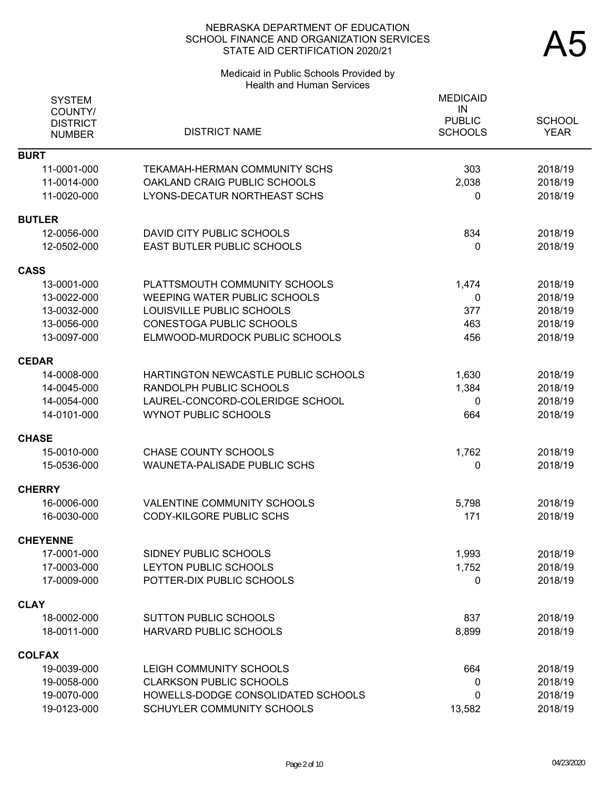# Medicaid in Public Schools Provided by Health and Human Services

| <b>SYSTEM</b><br>COUNTY/<br><b>DISTRICT</b><br><b>NUMBER</b> | <b>DISTRICT NAME</b>                | <b>MEDICAID</b><br>IN<br><b>PUBLIC</b><br><b>SCHOOLS</b> | <b>SCHOOL</b><br><b>YEAR</b> |
|--------------------------------------------------------------|-------------------------------------|----------------------------------------------------------|------------------------------|
| <b>BURT</b>                                                  |                                     |                                                          |                              |
| 11-0001-000                                                  | TEKAMAH-HERMAN COMMUNITY SCHS       | 303                                                      | 2018/19                      |
| 11-0014-000                                                  | OAKLAND CRAIG PUBLIC SCHOOLS        | 2,038                                                    | 2018/19                      |
| 11-0020-000                                                  | LYONS-DECATUR NORTHEAST SCHS        | 0                                                        | 2018/19                      |
| <b>BUTLER</b>                                                |                                     |                                                          |                              |
| 12-0056-000                                                  | DAVID CITY PUBLIC SCHOOLS           | 834                                                      | 2018/19                      |
| 12-0502-000                                                  | <b>EAST BUTLER PUBLIC SCHOOLS</b>   | 0                                                        | 2018/19                      |
| <b>CASS</b>                                                  |                                     |                                                          |                              |
| 13-0001-000                                                  | PLATTSMOUTH COMMUNITY SCHOOLS       | 1,474                                                    | 2018/19                      |
| 13-0022-000                                                  | <b>WEEPING WATER PUBLIC SCHOOLS</b> | 0                                                        | 2018/19                      |
| 13-0032-000                                                  | LOUISVILLE PUBLIC SCHOOLS           | 377                                                      | 2018/19                      |
| 13-0056-000                                                  | <b>CONESTOGA PUBLIC SCHOOLS</b>     | 463                                                      | 2018/19                      |
| 13-0097-000                                                  | ELMWOOD-MURDOCK PUBLIC SCHOOLS      | 456                                                      | 2018/19                      |
| <b>CEDAR</b>                                                 |                                     |                                                          |                              |
| 14-0008-000                                                  | HARTINGTON NEWCASTLE PUBLIC SCHOOLS | 1,630                                                    | 2018/19                      |
| 14-0045-000                                                  | RANDOLPH PUBLIC SCHOOLS             | 1,384                                                    | 2018/19                      |
| 14-0054-000                                                  | LAUREL-CONCORD-COLERIDGE SCHOOL     | 0                                                        | 2018/19                      |
| 14-0101-000                                                  | <b>WYNOT PUBLIC SCHOOLS</b>         | 664                                                      | 2018/19                      |
| <b>CHASE</b>                                                 |                                     |                                                          |                              |
| 15-0010-000                                                  | <b>CHASE COUNTY SCHOOLS</b>         | 1,762                                                    | 2018/19                      |
| 15-0536-000                                                  | <b>WAUNETA-PALISADE PUBLIC SCHS</b> | 0                                                        | 2018/19                      |
| <b>CHERRY</b>                                                |                                     |                                                          |                              |
| 16-0006-000                                                  | VALENTINE COMMUNITY SCHOOLS         | 5,798                                                    | 2018/19                      |
| 16-0030-000                                                  | <b>CODY-KILGORE PUBLIC SCHS</b>     | 171                                                      | 2018/19                      |
| <b>CHEYENNE</b>                                              |                                     |                                                          |                              |
| 17-0001-000                                                  | SIDNEY PUBLIC SCHOOLS               | 1,993                                                    | 2018/19                      |
| 17-0003-000                                                  | LEYTON PUBLIC SCHOOLS               | 1,752                                                    | 2018/19                      |
| 17-0009-000                                                  | POTTER-DIX PUBLIC SCHOOLS           | 0                                                        | 2018/19                      |
| <b>CLAY</b>                                                  |                                     |                                                          |                              |
| 18-0002-000                                                  | <b>SUTTON PUBLIC SCHOOLS</b>        | 837                                                      | 2018/19                      |
| 18-0011-000                                                  | HARVARD PUBLIC SCHOOLS              | 8,899                                                    | 2018/19                      |
| <b>COLFAX</b>                                                |                                     |                                                          |                              |
| 19-0039-000                                                  | LEIGH COMMUNITY SCHOOLS             | 664                                                      | 2018/19                      |
| 19-0058-000                                                  | <b>CLARKSON PUBLIC SCHOOLS</b>      | 0                                                        | 2018/19                      |
| 19-0070-000                                                  | HOWELLS-DODGE CONSOLIDATED SCHOOLS  | 0                                                        | 2018/19                      |
| 19-0123-000                                                  | SCHUYLER COMMUNITY SCHOOLS          | 13,582                                                   | 2018/19                      |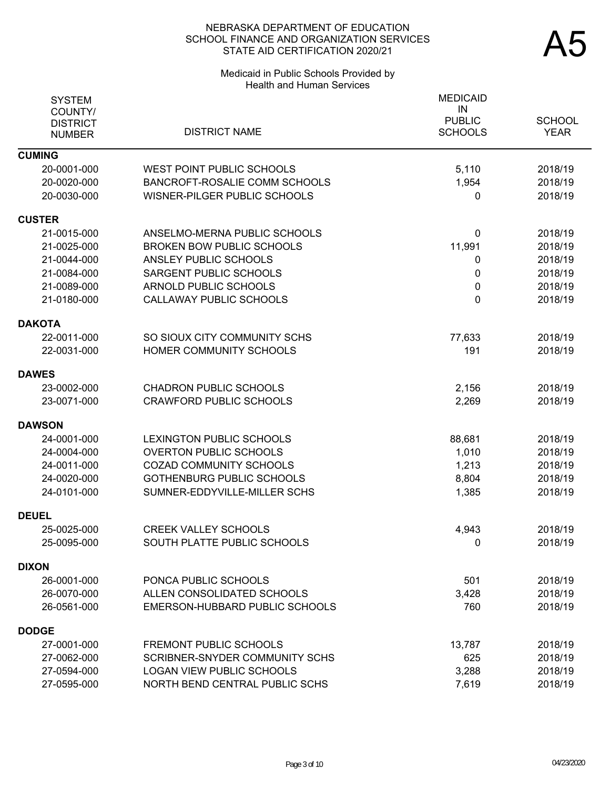# Medicaid in Public Schools Provided by Health and Human Services

| <b>SYSTEM</b><br>COUNTY/<br><b>DISTRICT</b><br><b>NUMBER</b> | <b>DISTRICT NAME</b>             | <b>MEDICAID</b><br>IN<br><b>PUBLIC</b><br><b>SCHOOLS</b> | <b>SCHOOL</b><br><b>YEAR</b> |
|--------------------------------------------------------------|----------------------------------|----------------------------------------------------------|------------------------------|
| <b>CUMING</b>                                                |                                  |                                                          |                              |
| 20-0001-000                                                  | <b>WEST POINT PUBLIC SCHOOLS</b> | 5,110                                                    | 2018/19                      |
| 20-0020-000                                                  | BANCROFT-ROSALIE COMM SCHOOLS    | 1,954                                                    | 2018/19                      |
| 20-0030-000                                                  | WISNER-PILGER PUBLIC SCHOOLS     | 0                                                        | 2018/19                      |
| <b>CUSTER</b>                                                |                                  |                                                          |                              |
| 21-0015-000                                                  | ANSELMO-MERNA PUBLIC SCHOOLS     | 0                                                        | 2018/19                      |
| 21-0025-000                                                  | <b>BROKEN BOW PUBLIC SCHOOLS</b> | 11,991                                                   | 2018/19                      |
| 21-0044-000                                                  | ANSLEY PUBLIC SCHOOLS            | 0                                                        | 2018/19                      |
| 21-0084-000                                                  | SARGENT PUBLIC SCHOOLS           | 0                                                        | 2018/19                      |
| 21-0089-000                                                  | ARNOLD PUBLIC SCHOOLS            | $\mathbf 0$                                              | 2018/19                      |
| 21-0180-000                                                  | CALLAWAY PUBLIC SCHOOLS          | 0                                                        | 2018/19                      |
| <b>DAKOTA</b>                                                |                                  |                                                          |                              |
| 22-0011-000                                                  | SO SIOUX CITY COMMUNITY SCHS     | 77,633                                                   | 2018/19                      |
| 22-0031-000                                                  | HOMER COMMUNITY SCHOOLS          | 191                                                      | 2018/19                      |
| <b>DAWES</b>                                                 |                                  |                                                          |                              |
| 23-0002-000                                                  | <b>CHADRON PUBLIC SCHOOLS</b>    | 2,156                                                    | 2018/19                      |
| 23-0071-000                                                  | <b>CRAWFORD PUBLIC SCHOOLS</b>   | 2,269                                                    | 2018/19                      |
| <b>DAWSON</b>                                                |                                  |                                                          |                              |
| 24-0001-000                                                  | LEXINGTON PUBLIC SCHOOLS         | 88,681                                                   | 2018/19                      |
| 24-0004-000                                                  | <b>OVERTON PUBLIC SCHOOLS</b>    | 1,010                                                    | 2018/19                      |
| 24-0011-000                                                  | <b>COZAD COMMUNITY SCHOOLS</b>   | 1,213                                                    | 2018/19                      |
| 24-0020-000                                                  | <b>GOTHENBURG PUBLIC SCHOOLS</b> | 8,804                                                    | 2018/19                      |
| 24-0101-000                                                  | SUMNER-EDDYVILLE-MILLER SCHS     | 1,385                                                    | 2018/19                      |
| <b>DEUEL</b>                                                 |                                  |                                                          |                              |
| 25-0025-000                                                  | <b>CREEK VALLEY SCHOOLS</b>      | 4,943                                                    | 2018/19                      |
| 25-0095-000                                                  | SOUTH PLATTE PUBLIC SCHOOLS      | $\mathbf 0$                                              | 2018/19                      |
| <b>DIXON</b>                                                 |                                  |                                                          |                              |
| 26-0001-000                                                  | PONCA PUBLIC SCHOOLS             | 501                                                      | 2018/19                      |
| 26-0070-000                                                  | ALLEN CONSOLIDATED SCHOOLS       | 3,428                                                    | 2018/19                      |
| 26-0561-000                                                  | EMERSON-HUBBARD PUBLIC SCHOOLS   | 760                                                      | 2018/19                      |
| <b>DODGE</b>                                                 |                                  |                                                          |                              |
| 27-0001-000                                                  | <b>FREMONT PUBLIC SCHOOLS</b>    | 13,787                                                   | 2018/19                      |
| 27-0062-000                                                  | SCRIBNER-SNYDER COMMUNITY SCHS   | 625                                                      | 2018/19                      |
| 27-0594-000                                                  | <b>LOGAN VIEW PUBLIC SCHOOLS</b> | 3,288                                                    | 2018/19                      |
| 27-0595-000                                                  | NORTH BEND CENTRAL PUBLIC SCHS   | 7,619                                                    | 2018/19                      |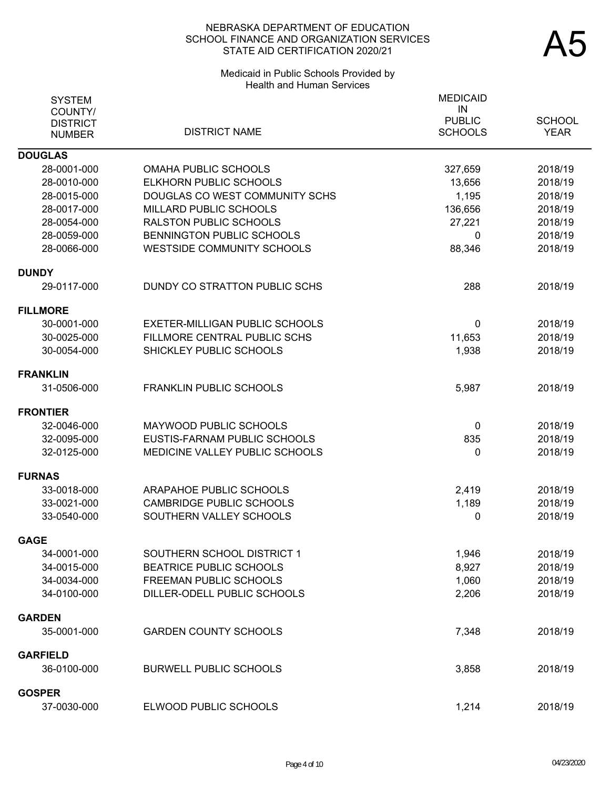# Medicaid in Public Schools Provided by Health and Human Services

| <b>SYSTEM</b><br>COUNTY/<br><b>DISTRICT</b><br><b>NUMBER</b> | <b>DISTRICT NAME</b>                  | <b>MEDICAID</b><br>IN<br><b>PUBLIC</b><br><b>SCHOOLS</b> | <b>SCHOOL</b><br><b>YEAR</b> |
|--------------------------------------------------------------|---------------------------------------|----------------------------------------------------------|------------------------------|
| <b>DOUGLAS</b>                                               |                                       |                                                          |                              |
| 28-0001-000                                                  | <b>OMAHA PUBLIC SCHOOLS</b>           | 327,659                                                  | 2018/19                      |
| 28-0010-000                                                  | ELKHORN PUBLIC SCHOOLS                | 13,656                                                   | 2018/19                      |
| 28-0015-000                                                  | DOUGLAS CO WEST COMMUNITY SCHS        | 1,195                                                    | 2018/19                      |
| 28-0017-000                                                  | MILLARD PUBLIC SCHOOLS                | 136,656                                                  | 2018/19                      |
| 28-0054-000                                                  | <b>RALSTON PUBLIC SCHOOLS</b>         | 27,221                                                   | 2018/19                      |
| 28-0059-000                                                  | <b>BENNINGTON PUBLIC SCHOOLS</b>      | 0                                                        | 2018/19                      |
| 28-0066-000                                                  | <b>WESTSIDE COMMUNITY SCHOOLS</b>     | 88,346                                                   | 2018/19                      |
| <b>DUNDY</b>                                                 |                                       |                                                          |                              |
| 29-0117-000                                                  | DUNDY CO STRATTON PUBLIC SCHS         | 288                                                      | 2018/19                      |
| <b>FILLMORE</b>                                              |                                       |                                                          |                              |
| 30-0001-000                                                  | <b>EXETER-MILLIGAN PUBLIC SCHOOLS</b> | 0                                                        | 2018/19                      |
| 30-0025-000                                                  | FILLMORE CENTRAL PUBLIC SCHS          | 11,653                                                   | 2018/19                      |
| 30-0054-000                                                  | SHICKLEY PUBLIC SCHOOLS               | 1,938                                                    | 2018/19                      |
| FRANKLIN                                                     |                                       |                                                          |                              |
| 31-0506-000                                                  | <b>FRANKLIN PUBLIC SCHOOLS</b>        | 5,987                                                    | 2018/19                      |
| <b>FRONTIER</b>                                              |                                       |                                                          |                              |
| 32-0046-000                                                  | MAYWOOD PUBLIC SCHOOLS                | $\mathbf{0}$                                             | 2018/19                      |
| 32-0095-000                                                  | EUSTIS-FARNAM PUBLIC SCHOOLS          | 835                                                      | 2018/19                      |
| 32-0125-000                                                  | MEDICINE VALLEY PUBLIC SCHOOLS        | 0                                                        | 2018/19                      |
| <b>FURNAS</b>                                                |                                       |                                                          |                              |
| 33-0018-000                                                  | ARAPAHOE PUBLIC SCHOOLS               | 2,419                                                    | 2018/19                      |
| 33-0021-000                                                  | <b>CAMBRIDGE PUBLIC SCHOOLS</b>       | 1,189                                                    | 2018/19                      |
| 33-0540-000                                                  | SOUTHERN VALLEY SCHOOLS               | 0                                                        | 2018/19                      |
| <b>GAGE</b>                                                  |                                       |                                                          |                              |
| 34-0001-000                                                  | SOUTHERN SCHOOL DISTRICT 1            | 1,946                                                    | 2018/19                      |
| 34-0015-000                                                  | <b>BEATRICE PUBLIC SCHOOLS</b>        | 8,927                                                    | 2018/19                      |
| 34-0034-000                                                  | FREEMAN PUBLIC SCHOOLS                | 1,060                                                    | 2018/19                      |
| 34-0100-000                                                  | DILLER-ODELL PUBLIC SCHOOLS           | 2,206                                                    | 2018/19                      |
| <b>GARDEN</b>                                                |                                       |                                                          |                              |
| 35-0001-000                                                  | <b>GARDEN COUNTY SCHOOLS</b>          | 7,348                                                    | 2018/19                      |
| <b>GARFIELD</b>                                              |                                       |                                                          |                              |
| 36-0100-000                                                  | <b>BURWELL PUBLIC SCHOOLS</b>         | 3,858                                                    | 2018/19                      |
| GOSPER                                                       |                                       |                                                          |                              |
| 37-0030-000                                                  | ELWOOD PUBLIC SCHOOLS                 | 1,214                                                    | 2018/19                      |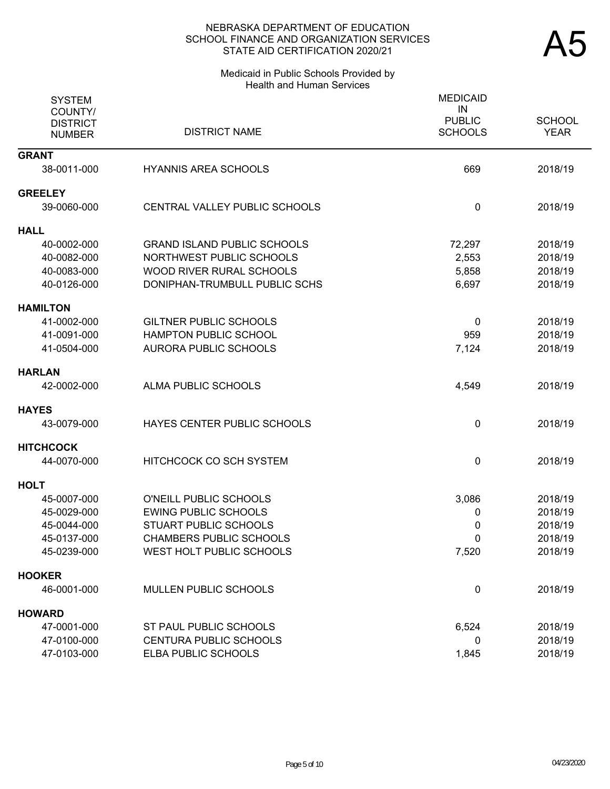#### Medicaid in Public Schools Provided by Health and Human Services

| <b>SYSTEM</b><br>COUNTY/<br><b>DISTRICT</b><br><b>NUMBER</b> | <b>DISTRICT NAME</b>               | <b>MEDICAID</b><br>IN<br><b>PUBLIC</b><br><b>SCHOOLS</b> | <b>SCHOOL</b><br><b>YEAR</b> |
|--------------------------------------------------------------|------------------------------------|----------------------------------------------------------|------------------------------|
| <b>GRANT</b>                                                 |                                    |                                                          |                              |
| 38-0011-000                                                  | <b>HYANNIS AREA SCHOOLS</b>        | 669                                                      | 2018/19                      |
| <b>GREELEY</b>                                               |                                    |                                                          |                              |
| 39-0060-000                                                  | CENTRAL VALLEY PUBLIC SCHOOLS      | 0                                                        | 2018/19                      |
| <b>HALL</b>                                                  |                                    |                                                          |                              |
| 40-0002-000                                                  | <b>GRAND ISLAND PUBLIC SCHOOLS</b> | 72,297                                                   | 2018/19                      |
| 40-0082-000                                                  | NORTHWEST PUBLIC SCHOOLS           | 2,553                                                    | 2018/19                      |
| 40-0083-000                                                  | <b>WOOD RIVER RURAL SCHOOLS</b>    | 5,858                                                    | 2018/19                      |
| 40-0126-000                                                  | DONIPHAN-TRUMBULL PUBLIC SCHS      | 6,697                                                    | 2018/19                      |
| <b>HAMILTON</b>                                              |                                    |                                                          |                              |
| 41-0002-000                                                  | <b>GILTNER PUBLIC SCHOOLS</b>      | 0                                                        | 2018/19                      |
| 41-0091-000                                                  | <b>HAMPTON PUBLIC SCHOOL</b>       | 959                                                      | 2018/19                      |
| 41-0504-000                                                  | <b>AURORA PUBLIC SCHOOLS</b>       | 7,124                                                    | 2018/19                      |
| <b>HARLAN</b>                                                |                                    |                                                          |                              |
| 42-0002-000                                                  | ALMA PUBLIC SCHOOLS                | 4,549                                                    | 2018/19                      |
| <b>HAYES</b>                                                 |                                    |                                                          |                              |
| 43-0079-000                                                  | HAYES CENTER PUBLIC SCHOOLS        | 0                                                        | 2018/19                      |
| <b>HITCHCOCK</b>                                             |                                    |                                                          |                              |
| 44-0070-000                                                  | HITCHCOCK CO SCH SYSTEM            | 0                                                        | 2018/19                      |
| <b>HOLT</b>                                                  |                                    |                                                          |                              |
| 45-0007-000                                                  | <b>O'NEILL PUBLIC SCHOOLS</b>      | 3,086                                                    | 2018/19                      |
| 45-0029-000                                                  | <b>EWING PUBLIC SCHOOLS</b>        | 0                                                        | 2018/19                      |
| 45-0044-000                                                  | <b>STUART PUBLIC SCHOOLS</b>       | 0                                                        | 2018/19                      |
| 45-0137-000                                                  | <b>CHAMBERS PUBLIC SCHOOLS</b>     | 0                                                        | 2018/19                      |
| 45-0239-000                                                  | WEST HOLT PUBLIC SCHOOLS           | 7,520                                                    | 2018/19                      |
| <b>HOOKER</b>                                                |                                    |                                                          |                              |
| 46-0001-000                                                  | MULLEN PUBLIC SCHOOLS              | 0                                                        | 2018/19                      |
| <b>HOWARD</b>                                                |                                    |                                                          |                              |
| 47-0001-000                                                  | ST PAUL PUBLIC SCHOOLS             | 6,524                                                    | 2018/19                      |
| 47-0100-000                                                  | CENTURA PUBLIC SCHOOLS             | 0                                                        | 2018/19                      |
| 47-0103-000                                                  | ELBA PUBLIC SCHOOLS                | 1,845                                                    | 2018/19                      |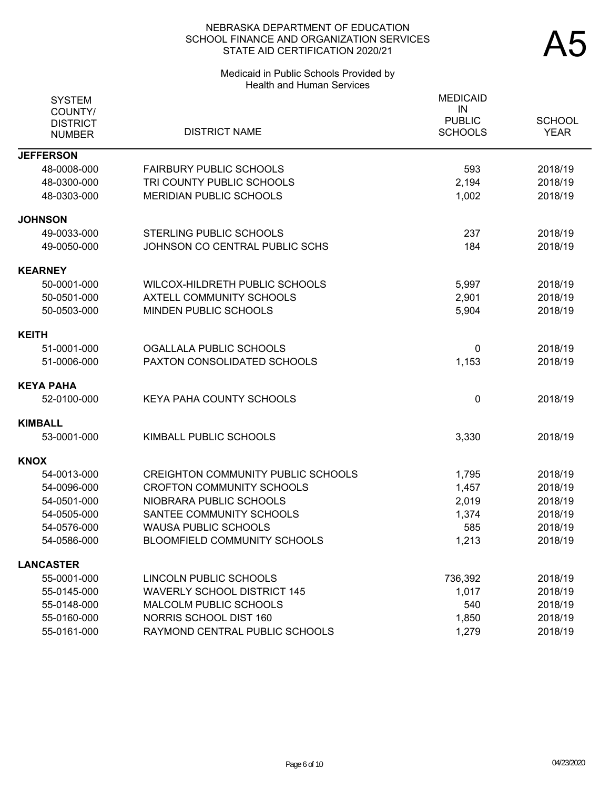# Medicaid in Public Schools Provided by Health and Human Services

| <b>SYSTEM</b><br>COUNTY/<br><b>DISTRICT</b><br><b>NUMBER</b> | <b>DISTRICT NAME</b>                      | <b>MEDICAID</b><br>IN<br><b>PUBLIC</b><br><b>SCHOOLS</b> | <b>SCHOOL</b><br><b>YEAR</b> |
|--------------------------------------------------------------|-------------------------------------------|----------------------------------------------------------|------------------------------|
| <b>JEFFERSON</b>                                             |                                           |                                                          |                              |
| 48-0008-000                                                  | <b>FAIRBURY PUBLIC SCHOOLS</b>            | 593                                                      | 2018/19                      |
| 48-0300-000                                                  | TRI COUNTY PUBLIC SCHOOLS                 | 2,194                                                    | 2018/19                      |
| 48-0303-000                                                  | MERIDIAN PUBLIC SCHOOLS                   | 1,002                                                    | 2018/19                      |
| <b>JOHNSON</b>                                               |                                           |                                                          |                              |
| 49-0033-000                                                  | STERLING PUBLIC SCHOOLS                   | 237                                                      | 2018/19                      |
| 49-0050-000                                                  | JOHNSON CO CENTRAL PUBLIC SCHS            | 184                                                      | 2018/19                      |
| <b>KEARNEY</b>                                               |                                           |                                                          |                              |
| 50-0001-000                                                  | WILCOX-HILDRETH PUBLIC SCHOOLS            | 5,997                                                    | 2018/19                      |
| 50-0501-000                                                  | <b>AXTELL COMMUNITY SCHOOLS</b>           | 2,901                                                    | 2018/19                      |
| 50-0503-000                                                  | MINDEN PUBLIC SCHOOLS                     | 5,904                                                    | 2018/19                      |
| <b>KEITH</b>                                                 |                                           |                                                          |                              |
| 51-0001-000                                                  | OGALLALA PUBLIC SCHOOLS                   | 0                                                        | 2018/19                      |
| 51-0006-000                                                  | PAXTON CONSOLIDATED SCHOOLS               | 1,153                                                    | 2018/19                      |
| KEYA PAHA                                                    |                                           |                                                          |                              |
| 52-0100-000                                                  | <b>KEYA PAHA COUNTY SCHOOLS</b>           | 0                                                        | 2018/19                      |
| KIMBALL                                                      |                                           |                                                          |                              |
| 53-0001-000                                                  | KIMBALL PUBLIC SCHOOLS                    | 3,330                                                    | 2018/19                      |
| <b>KNOX</b>                                                  |                                           |                                                          |                              |
| 54-0013-000                                                  | <b>CREIGHTON COMMUNITY PUBLIC SCHOOLS</b> | 1,795                                                    | 2018/19                      |
| 54-0096-000                                                  | <b>CROFTON COMMUNITY SCHOOLS</b>          | 1,457                                                    | 2018/19                      |
| 54-0501-000                                                  | NIOBRARA PUBLIC SCHOOLS                   | 2,019                                                    | 2018/19                      |
| 54-0505-000                                                  | SANTEE COMMUNITY SCHOOLS                  | 1,374                                                    | 2018/19                      |
| 54-0576-000                                                  | <b>WAUSA PUBLIC SCHOOLS</b>               | 585                                                      | 2018/19                      |
| 54-0586-000                                                  | BLOOMFIELD COMMUNITY SCHOOLS              | 1,213                                                    | 2018/19                      |
| <b>LANCASTER</b>                                             |                                           |                                                          |                              |
| 55-0001-000                                                  | LINCOLN PUBLIC SCHOOLS                    | 736,392                                                  | 2018/19                      |
| 55-0145-000                                                  | <b>WAVERLY SCHOOL DISTRICT 145</b>        | 1,017                                                    | 2018/19                      |
| 55-0148-000                                                  | MALCOLM PUBLIC SCHOOLS                    | 540                                                      | 2018/19                      |
| 55-0160-000                                                  | NORRIS SCHOOL DIST 160                    | 1,850                                                    | 2018/19                      |
| 55-0161-000                                                  | RAYMOND CENTRAL PUBLIC SCHOOLS            | 1,279                                                    | 2018/19                      |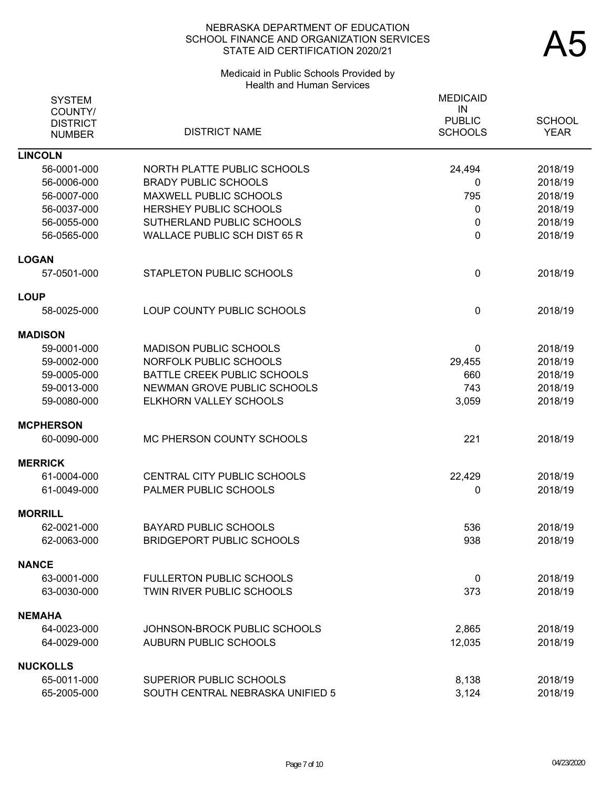# Medicaid in Public Schools Provided by Health and Human Services

| <b>SYSTEM</b><br>COUNTY/<br><b>DISTRICT</b> |                                     | <b>MEDICAID</b><br>IN<br><b>PUBLIC</b> | <b>SCHOOL</b> |
|---------------------------------------------|-------------------------------------|----------------------------------------|---------------|
| <b>NUMBER</b>                               | <b>DISTRICT NAME</b>                | <b>SCHOOLS</b>                         | <b>YEAR</b>   |
| <b>LINCOLN</b>                              |                                     |                                        |               |
| 56-0001-000                                 | NORTH PLATTE PUBLIC SCHOOLS         | 24,494                                 | 2018/19       |
| 56-0006-000                                 | <b>BRADY PUBLIC SCHOOLS</b>         | 0                                      | 2018/19       |
| 56-0007-000                                 | MAXWELL PUBLIC SCHOOLS              | 795                                    | 2018/19       |
| 56-0037-000                                 | HERSHEY PUBLIC SCHOOLS              | 0                                      | 2018/19       |
| 56-0055-000                                 | SUTHERLAND PUBLIC SCHOOLS           | 0                                      | 2018/19       |
| 56-0565-000                                 | <b>WALLACE PUBLIC SCH DIST 65 R</b> | 0                                      | 2018/19       |
| <b>LOGAN</b>                                |                                     |                                        |               |
| 57-0501-000                                 | STAPLETON PUBLIC SCHOOLS            | 0                                      | 2018/19       |
| <b>LOUP</b>                                 |                                     |                                        |               |
| 58-0025-000                                 | LOUP COUNTY PUBLIC SCHOOLS          | 0                                      | 2018/19       |
| <b>MADISON</b>                              |                                     |                                        |               |
| 59-0001-000                                 | <b>MADISON PUBLIC SCHOOLS</b>       | 0                                      | 2018/19       |
| 59-0002-000                                 | NORFOLK PUBLIC SCHOOLS              | 29,455                                 | 2018/19       |
| 59-0005-000                                 | BATTLE CREEK PUBLIC SCHOOLS         | 660                                    | 2018/19       |
| 59-0013-000                                 | NEWMAN GROVE PUBLIC SCHOOLS         | 743                                    | 2018/19       |
| 59-0080-000                                 | ELKHORN VALLEY SCHOOLS              | 3,059                                  | 2018/19       |
| <b>MCPHERSON</b>                            |                                     |                                        |               |
| 60-0090-000                                 | MC PHERSON COUNTY SCHOOLS           | 221                                    | 2018/19       |
| <b>MERRICK</b>                              |                                     |                                        |               |
| 61-0004-000                                 | CENTRAL CITY PUBLIC SCHOOLS         | 22,429                                 | 2018/19       |
| 61-0049-000                                 | PALMER PUBLIC SCHOOLS               | 0                                      | 2018/19       |
| <b>MORRILL</b>                              |                                     |                                        |               |
| 62-0021-000                                 | <b>BAYARD PUBLIC SCHOOLS</b>        | 536                                    | 2018/19       |
| 62-0063-000                                 | <b>BRIDGEPORT PUBLIC SCHOOLS</b>    | 938                                    | 2018/19       |
| <b>NANCE</b>                                |                                     |                                        |               |
| 63-0001-000                                 | <b>FULLERTON PUBLIC SCHOOLS</b>     | 0                                      | 2018/19       |
| 63-0030-000                                 | TWIN RIVER PUBLIC SCHOOLS           | 373                                    | 2018/19       |
| <b>NEMAHA</b>                               |                                     |                                        |               |
| 64-0023-000                                 | JOHNSON-BROCK PUBLIC SCHOOLS        | 2,865                                  | 2018/19       |
| 64-0029-000                                 | <b>AUBURN PUBLIC SCHOOLS</b>        | 12,035                                 | 2018/19       |
| <b>NUCKOLLS</b>                             |                                     |                                        |               |
| 65-0011-000                                 | SUPERIOR PUBLIC SCHOOLS             | 8,138                                  | 2018/19       |
| 65-2005-000                                 | SOUTH CENTRAL NEBRASKA UNIFIED 5    | 3,124                                  | 2018/19       |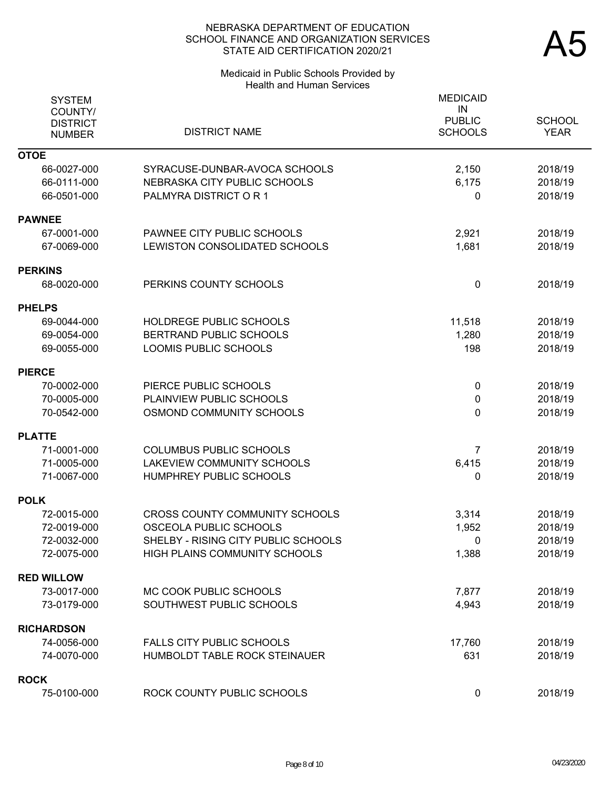# Medicaid in Public Schools Provided by Health and Human Services

| <b>SYSTEM</b><br>COUNTY/<br><b>DISTRICT</b><br><b>NUMBER</b> | <b>DISTRICT NAME</b>                                          | <b>MEDICAID</b><br>IN<br><b>PUBLIC</b><br><b>SCHOOLS</b> | <b>SCHOOL</b><br><b>YEAR</b> |
|--------------------------------------------------------------|---------------------------------------------------------------|----------------------------------------------------------|------------------------------|
| <b>OTOE</b>                                                  |                                                               |                                                          |                              |
| 66-0027-000<br>66-0111-000                                   | SYRACUSE-DUNBAR-AVOCA SCHOOLS<br>NEBRASKA CITY PUBLIC SCHOOLS | 2,150<br>6,175                                           | 2018/19<br>2018/19           |
| 66-0501-000                                                  | PALMYRA DISTRICT O R 1                                        | $\mathbf{0}$                                             | 2018/19                      |
|                                                              |                                                               |                                                          |                              |
| <b>PAWNEE</b>                                                |                                                               |                                                          |                              |
| 67-0001-000                                                  | PAWNEE CITY PUBLIC SCHOOLS                                    | 2,921                                                    | 2018/19                      |
| 67-0069-000                                                  | LEWISTON CONSOLIDATED SCHOOLS                                 | 1,681                                                    | 2018/19                      |
| <b>PERKINS</b>                                               |                                                               |                                                          |                              |
| 68-0020-000                                                  | PERKINS COUNTY SCHOOLS                                        | $\mathbf 0$                                              | 2018/19                      |
| PHELPS                                                       |                                                               |                                                          |                              |
| 69-0044-000                                                  | HOLDREGE PUBLIC SCHOOLS                                       | 11,518                                                   | 2018/19                      |
| 69-0054-000                                                  | BERTRAND PUBLIC SCHOOLS                                       | 1,280                                                    | 2018/19                      |
| 69-0055-000                                                  | <b>LOOMIS PUBLIC SCHOOLS</b>                                  | 198                                                      | 2018/19                      |
| <b>PIERCE</b>                                                |                                                               |                                                          |                              |
| 70-0002-000                                                  | PIERCE PUBLIC SCHOOLS                                         | $\pmb{0}$                                                | 2018/19                      |
| 70-0005-000                                                  | PLAINVIEW PUBLIC SCHOOLS                                      | 0                                                        | 2018/19                      |
| 70-0542-000                                                  | OSMOND COMMUNITY SCHOOLS                                      | 0                                                        | 2018/19                      |
| <b>PLATTE</b>                                                |                                                               |                                                          |                              |
| 71-0001-000                                                  | <b>COLUMBUS PUBLIC SCHOOLS</b>                                | 7                                                        | 2018/19                      |
| 71-0005-000                                                  | <b>LAKEVIEW COMMUNITY SCHOOLS</b>                             | 6,415                                                    | 2018/19                      |
| 71-0067-000                                                  | HUMPHREY PUBLIC SCHOOLS                                       | 0                                                        | 2018/19                      |
| <b>POLK</b>                                                  |                                                               |                                                          |                              |
| 72-0015-000                                                  | <b>CROSS COUNTY COMMUNITY SCHOOLS</b>                         | 3,314                                                    | 2018/19                      |
| 72-0019-000                                                  | OSCEOLA PUBLIC SCHOOLS                                        | 1,952                                                    | 2018/19                      |
| 72-0032-000                                                  | SHELBY - RISING CITY PUBLIC SCHOOLS                           | $\overline{\mathbf{0}}$                                  | 2018/19                      |
| 72-0075-000                                                  | HIGH PLAINS COMMUNITY SCHOOLS                                 | 1,388                                                    | 2018/19                      |
| <b>RED WILLOW</b>                                            |                                                               |                                                          |                              |
| 73-0017-000                                                  | MC COOK PUBLIC SCHOOLS                                        | 7,877                                                    | 2018/19                      |
| 73-0179-000                                                  | SOUTHWEST PUBLIC SCHOOLS                                      | 4,943                                                    | 2018/19                      |
| <b>RICHARDSON</b>                                            |                                                               |                                                          |                              |
| 74-0056-000                                                  | <b>FALLS CITY PUBLIC SCHOOLS</b>                              | 17,760                                                   | 2018/19                      |
| 74-0070-000                                                  | HUMBOLDT TABLE ROCK STEINAUER                                 | 631                                                      | 2018/19                      |
| <b>ROCK</b>                                                  |                                                               |                                                          |                              |
| 75-0100-000                                                  | ROCK COUNTY PUBLIC SCHOOLS                                    | $\mathbf 0$                                              | 2018/19                      |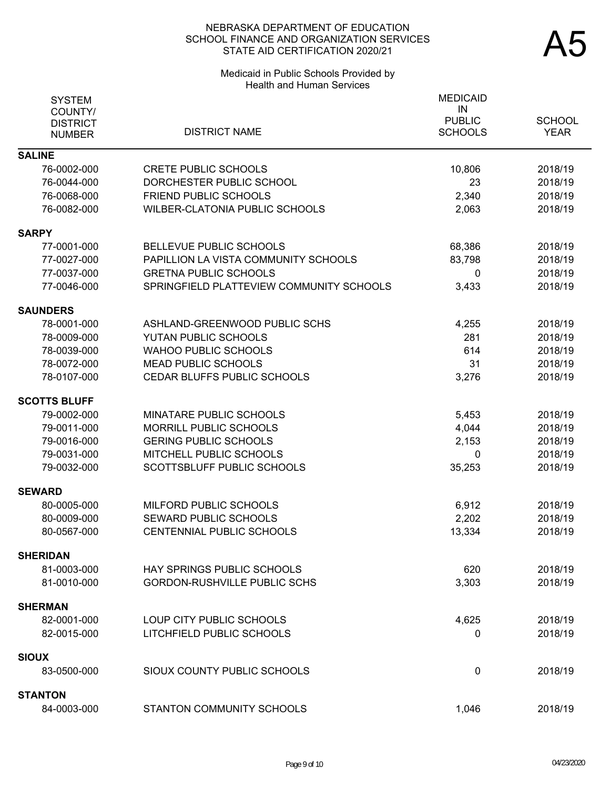#### Medicaid in Public Schools Provided by Health and Human Services

| <b>SYSTEM</b>       |                                          | <b>MEDICAID</b> |               |
|---------------------|------------------------------------------|-----------------|---------------|
| COUNTY/             |                                          | IN              |               |
| <b>DISTRICT</b>     |                                          | <b>PUBLIC</b>   | <b>SCHOOL</b> |
| <b>NUMBER</b>       | <b>DISTRICT NAME</b>                     | <b>SCHOOLS</b>  | <b>YEAR</b>   |
| <b>SALINE</b>       |                                          |                 |               |
| 76-0002-000         | <b>CRETE PUBLIC SCHOOLS</b>              | 10,806          | 2018/19       |
| 76-0044-000         | DORCHESTER PUBLIC SCHOOL                 | 23              | 2018/19       |
| 76-0068-000         | <b>FRIEND PUBLIC SCHOOLS</b>             | 2,340           | 2018/19       |
| 76-0082-000         | <b>WILBER-CLATONIA PUBLIC SCHOOLS</b>    | 2,063           | 2018/19       |
| <b>SARPY</b>        |                                          |                 |               |
| 77-0001-000         | BELLEVUE PUBLIC SCHOOLS                  | 68,386          | 2018/19       |
| 77-0027-000         | PAPILLION LA VISTA COMMUNITY SCHOOLS     | 83,798          | 2018/19       |
| 77-0037-000         | <b>GRETNA PUBLIC SCHOOLS</b>             | 0               | 2018/19       |
| 77-0046-000         | SPRINGFIELD PLATTEVIEW COMMUNITY SCHOOLS | 3,433           | 2018/19       |
| <b>SAUNDERS</b>     |                                          |                 |               |
| 78-0001-000         | ASHLAND-GREENWOOD PUBLIC SCHS            | 4,255           | 2018/19       |
| 78-0009-000         | <b>YUTAN PUBLIC SCHOOLS</b>              | 281             | 2018/19       |
| 78-0039-000         | <b>WAHOO PUBLIC SCHOOLS</b>              | 614             | 2018/19       |
| 78-0072-000         | <b>MEAD PUBLIC SCHOOLS</b>               | 31              | 2018/19       |
| 78-0107-000         | CEDAR BLUFFS PUBLIC SCHOOLS              | 3,276           | 2018/19       |
| <b>SCOTTS BLUFF</b> |                                          |                 |               |
| 79-0002-000         | MINATARE PUBLIC SCHOOLS                  | 5,453           | 2018/19       |
| 79-0011-000         | <b>MORRILL PUBLIC SCHOOLS</b>            | 4,044           | 2018/19       |
| 79-0016-000         | <b>GERING PUBLIC SCHOOLS</b>             | 2,153           | 2018/19       |
| 79-0031-000         | MITCHELL PUBLIC SCHOOLS                  | $\mathbf{0}$    | 2018/19       |
| 79-0032-000         | <b>SCOTTSBLUFF PUBLIC SCHOOLS</b>        | 35,253          | 2018/19       |
| <b>SEWARD</b>       |                                          |                 |               |
| 80-0005-000         | MILFORD PUBLIC SCHOOLS                   | 6,912           | 2018/19       |
| 80-0009-000         | SEWARD PUBLIC SCHOOLS                    | 2,202           | 2018/19       |
| 80-0567-000         | CENTENNIAL PUBLIC SCHOOLS                | 13,334          | 2018/19       |
| <b>SHERIDAN</b>     |                                          |                 |               |
| 81-0003-000         | <b>HAY SPRINGS PUBLIC SCHOOLS</b>        | 620             | 2018/19       |
| 81-0010-000         | <b>GORDON-RUSHVILLE PUBLIC SCHS</b>      | 3,303           | 2018/19       |
| <b>SHERMAN</b>      |                                          |                 |               |
| 82-0001-000         | LOUP CITY PUBLIC SCHOOLS                 | 4,625           | 2018/19       |
| 82-0015-000         | LITCHFIELD PUBLIC SCHOOLS                | 0               | 2018/19       |
| <b>SIOUX</b>        |                                          |                 |               |
| 83-0500-000         | SIOUX COUNTY PUBLIC SCHOOLS              | 0               | 2018/19       |
| <b>STANTON</b>      |                                          |                 |               |
| 84-0003-000         | STANTON COMMUNITY SCHOOLS                | 1,046           | 2018/19       |